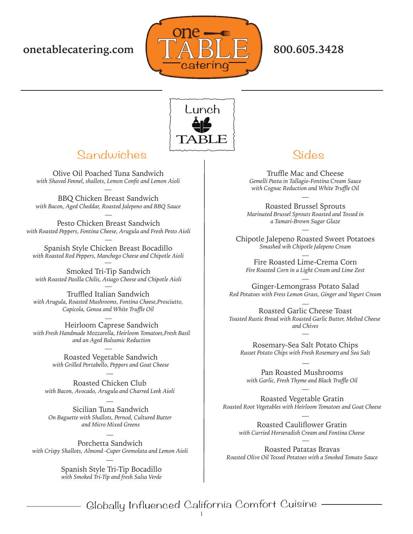



## Sandwiches  $\sim$  Sides

Olive Oil Poached Tuna Sandwich *with Shaved Fennel, shallots, Lemon Confit and Lemon Aioli*

BBQ Chicken Breast Sandwich *with Bacon, Aged Cheddar, Roasted Jalepeno and BBQ Sauce*

Pesto Chicken Breast Sandwich *with Roasted Peppers, Fontina Cheese, Arugula and Fresh Pesto Aioli*

Spanish Style Chicken Breast Bocadillo *with Roasted Red Peppers, Manchego Cheese and Chipotle Aioli*

Smoked Tri-Tip Sandwich *with Roasted Pasilla Chilis, Asiago Cheese and Chipotle Aioli*

Truffled Italian Sandwich *with Arugula, Roasted Mushrooms, Fontina Cheese,Prosciutto, Capicola, Genoa and White Truffle Oil*

Heirloom Caprese Sandwich *with Fresh Handmade Mozzarella, Heirloom Tomatoes,Fresh Basil and an Aged Balsamic Reduction*

> Roasted Vegetable Sandwich *with Grilled Portabello, Peppers and Goat Cheese*

Roasted Chicken Club *with Bacon, Avocado, Arugula and Charred Leek Aioli*

Sicilian Tuna Sandwich *On Baguette with Shallots, Pernod, Cultured Butter and Micro Mixed Greens*

Porchetta Sandwich *with Crispy Shallots, Almond -Caper Gremolata and Lemon Aioli*

> Spanish Style Tri-Tip Bocadillo *with Smoked Tri-Tip and fresh Salsa Verde*

Truffle Mac and Cheese *Gemelli Pasta in Tallagio-Fontina Cream Sauce with Cognac Reduction and White Truffle Oil*

Roasted Brussel Sprouts *Marinated Brussel Sprouts Roasted and Tossed in a Tamari-Brown Sugar Glaze*

Chipotle Jalepeno Roasted Sweet Potatoes *Smashed wih Chipotle Jalepeno Cream*

Fire Roasted Lime-Crema Corn *Fire Roasted Corn in a Light Cream and Lime Zest*

Ginger-Lemongrass Potato Salad *Red Potatoes with Fress Lemon Grass, Ginger and Yogurt Cream*

Roasted Garlic Cheese Toast *Toasted Rustic Bread with Roasted Garlic Butter, Melted Cheese and Chives*

Rosemary-Sea Salt Potato Chips *Russet Potato Chips with Fresh Rosemary and Sea Salt*

Pan Roasted Mushrooms *with Garlic, Fresh Thyme and Black Truffle Oil*

Roasted Vegetable Gratin *Roasted Root Vegetables with Heirloom Tomatoes and Goat Cheese*

> Roasted Cauliflower Gratin *with Curried Horseradish Cream and Fontina Cheese*

Roasted Patatas Bravas *Roasted Olive Oil Tossed Potatoes with a Smoked Tomato Sauce*

Globally Influenced California Comfort Cuisine